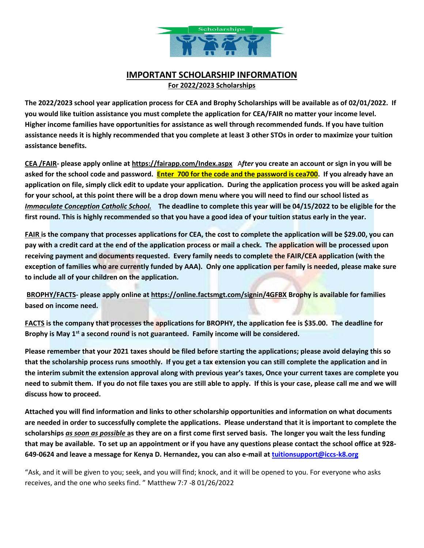

## **IMPORTANT SCHOLARSHIP INFORMATION For 2022/2023 Scholarships**

**The 2022/2023 school year application process for CEA and Brophy Scholarships will be available as of 02/01/2022. If you would like tuition assistance you must complete the application for CEA/FAIR no matter your income level. Higher income families have opportunities for assistance as well through recommended funds. If you have tuition assistance needs it is highly recommended that you complete at least 3 other STOs in order to maximize your tuition assistance benefits.** 

**CEA /FAIR- please apply online at<https://fairapp.com/Index.aspx>** A*fter* **you create an account or sign in you will be asked for the school code and password. Enter 700 for the code and the password is cea700. If you already have an application on file, simply click edit to update your application. During the application process you will be asked again for your school, at this point there will be a drop down menu where you will need to find our school listed as**  *Immaculate Conception Catholic School.* **The deadline to complete this year will be 04/15/2022 to be eligible for the first round. This is highly recommended so that you have a good idea of your tuition status early in the year.**

**FAIR is the company that processes applications for CEA, the cost to complete the application will be \$29.00, you can pay with a credit card at the end of the application process or mail a check. The application will be processed upon receiving payment and documents requested. Every family needs to complete the FAIR/CEA application (with the exception of families who are currently funded by AAA). Only one application per family is needed, please make sure to include all of your children on the application.** 

**BROPHY/FACTS- please apply online at<https://online.factsmgt.com/signin/4GFBX> Brophy is available for families based on income need.** 

**FACTS is the company that processes the applications for BROPHY, the application fee is \$35.00. The deadline for Brophy is May 1st a second round is not guaranteed. Family income will be considered.**

**Please remember that your 2021 taxes should be filed before starting the applications; please avoid delaying this so that the scholarship process runs smoothly. If you get a tax extension you can still complete the application and in the interim submit the extension approval along with previous year's taxes, Once your current taxes are complete you need to submit them. If you do not file taxes you are still able to apply. If this is your case, please call me and we will discuss how to proceed.** 

**Attached you will find information and links to other scholarship opportunities and information on what documents are needed in order to successfully complete the applications. Please understand that it is important to complete the scholarships** *as soon as possible* **as they are on a first come first served basis. The longer you wait the less funding that may be available. To set up an appointment or if you have any questions please contact the school office at 928- 649-0624 and leave a message for Kenya D. Hernandez, you can also e-mail at [tuitionsupport@iccs-k8.org](mailto:tuitionsupport@iccs-k8.org)** 

"Ask, and it will be given to you; seek, and you will find; knock, and it will be opened to you. For everyone who asks receives, and the one who seeks find. " Matthew 7:7 -8 01/26/2022